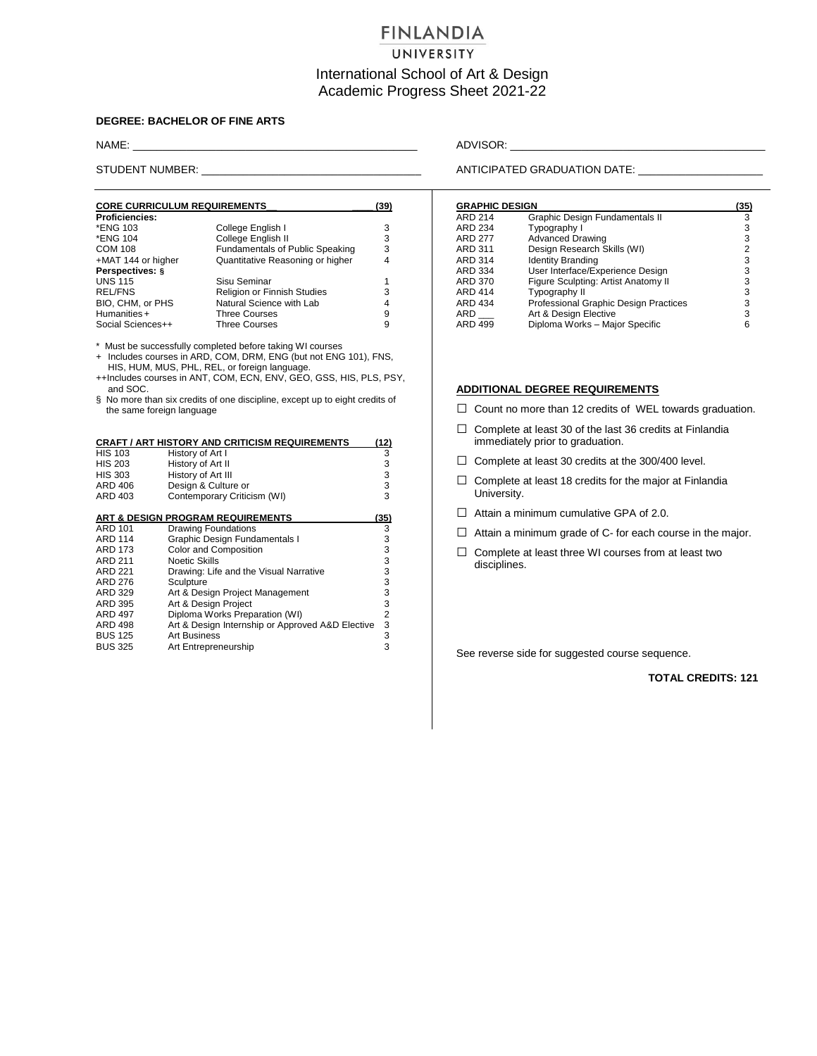# **FINLANDIA**

## UNIVERSITY

## International School of Art & Design Academic Progress Sheet 2021-22

### **DEGREE: BACHELOR OF FINE ARTS**

| <b>CORE CURRICULUM REQUIREMENTS</b> |                                        |   |
|-------------------------------------|----------------------------------------|---|
| <b>Proficiencies:</b>               |                                        |   |
| *ENG 103                            | College English I                      | 3 |
| *ENG 104                            | College English II                     | 3 |
| <b>COM 108</b>                      | <b>Fundamentals of Public Speaking</b> | 3 |
| +MAT 144 or higher                  | Quantitative Reasoning or higher       | 4 |
| Perspectives: §                     |                                        |   |
| <b>UNS 115</b>                      | Sisu Seminar                           |   |
| <b>REL/FNS</b>                      | <b>Religion or Finnish Studies</b>     | 3 |
| BIO, CHM, or PHS                    | Natural Science with Lab               | 4 |
| Humanities +                        | <b>Three Courses</b>                   | 9 |
| Social Sciences++                   | <b>Three Courses</b>                   | 9 |

\* Must be successfully completed before taking WI courses

+ Includes courses in ARD, COM, DRM, ENG (but not ENG 101), FNS, HIS, HUM, MUS, PHL, REL, or foreign language.

++Includes courses in ANT, COM, ECN, ENV, GEO, GSS, HIS, PLS, PSY, and SOC.

§ No more than six credits of one discipline, except up to eight credits of the same foreign language

|                | <b>CRAFT / ART HISTORY AND CRITICISM REQUIREMENTS</b> | <u>(12)</u> |
|----------------|-------------------------------------------------------|-------------|
| <b>HIS 103</b> | History of Art I                                      | 3           |
| <b>HIS 203</b> | History of Art II                                     | 3           |
| <b>HIS 303</b> | History of Art III                                    | 3           |
| ARD 406        | Design & Culture or                                   | 3           |
| ARD 403        | Contemporary Criticism (WI)                           | 3           |
|                |                                                       |             |
|                | ART & DESIGN PROGRAM REQUIREMENTS                     | (35)        |
| ARD 101        | Drawing Foundations                                   | 3           |
| <b>ARD 114</b> | Graphic Design Fundamentals I                         | 3           |
| <b>ARD 173</b> | Color and Composition                                 | 3           |
| <b>ARD 211</b> | Noetic Skills                                         | 3           |
| <b>ARD 221</b> | Drawing: Life and the Visual Narrative                | 3           |
| ARD 276        | Sculpture                                             | 3           |
| ARD 329        | Art & Design Project Management                       | 3           |
| ARD 395        | Art & Design Project                                  | 3           |
| ARD 497        | Diploma Works Preparation (WI)                        | 2           |
| <b>ARD 498</b> | Art & Design Internship or Approved A&D Elective      | 3           |
| <b>BUS 125</b> | <b>Art Business</b>                                   | 3           |
| <b>BUS 325</b> | Art Entrepreneurship                                  | 3           |

NAME: \_\_\_\_\_\_\_\_\_\_\_\_\_\_\_\_\_\_\_\_\_\_\_\_\_\_\_\_\_\_\_\_\_\_\_\_\_\_\_\_\_\_\_\_\_\_\_\_ ADVISOR: \_\_\_\_\_\_\_\_\_\_\_\_\_\_\_\_\_\_\_\_\_\_\_\_\_\_\_\_\_\_\_\_\_\_\_\_\_\_\_\_\_\_\_

STUDENT NUMBER: \_\_\_\_\_\_\_\_\_\_\_\_\_\_\_\_\_\_\_\_\_\_\_\_\_\_\_\_\_\_\_\_\_\_\_\_\_ ANTICIPATED GRADUATION DATE: \_\_\_\_\_\_\_\_\_\_\_\_\_\_\_\_\_\_\_\_\_

#### **GRAPHIC DESIGN (35)**

| URAFNIY DEƏIUN      |                                       | ເວວາ           |
|---------------------|---------------------------------------|----------------|
| <b>ARD 214</b>      | Graphic Design Fundamentals II        | 3              |
| ARD 234             | Typography I                          | 3              |
| <b>ARD 277</b>      | <b>Advanced Drawing</b>               | 3              |
| <b>ARD 311</b>      | Design Research Skills (WI)           | $\overline{2}$ |
| ARD 314             | <b>Identity Branding</b>              | 3              |
| ARD 334             | User Interface/Experience Design      | 3              |
| <b>ARD 370</b>      | Figure Sculpting: Artist Anatomy II   | 3              |
| <b>ARD 414</b>      | Typography II                         | 3              |
| <b>ARD 434</b>      | Professional Graphic Design Practices | 3              |
| $ARD$ <sub>——</sub> | Art & Design Elective                 | 3              |
| ARD 499             | Diploma Works - Major Specific        | 6              |
|                     |                                       |                |

### **ADDITIONAL DEGREE REQUIREMENTS**

- □ Count no more than 12 credits of WEL towards graduation.
- $\Box$  Complete at least 30 of the last 36 credits at Finlandia immediately prior to graduation.
- □ Complete at least 30 credits at the 300/400 level.
- $\Box$  Complete at least 18 credits for the major at Finlandia University.
- $\Box$  Attain a minimum cumulative GPA of 2.0.
- $\Box$  Attain a minimum grade of C- for each course in the major.
- $\Box$  Complete at least three WI courses from at least two disciplines.

See reverse side for suggested course sequence.

### **TOTAL CREDITS: 121**